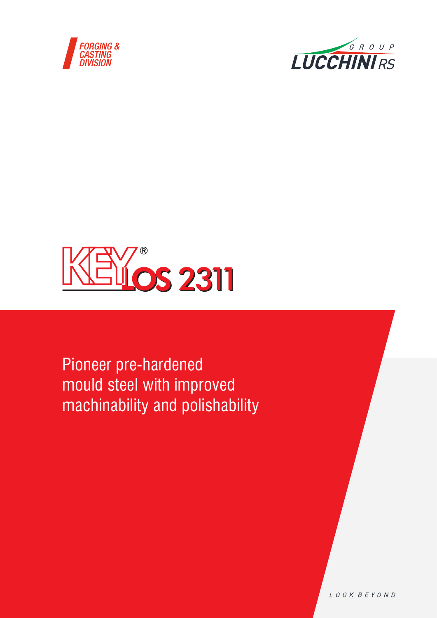





Pioneer pre-hardened mould steel with improved machinability and polishability

LOOK BEYOND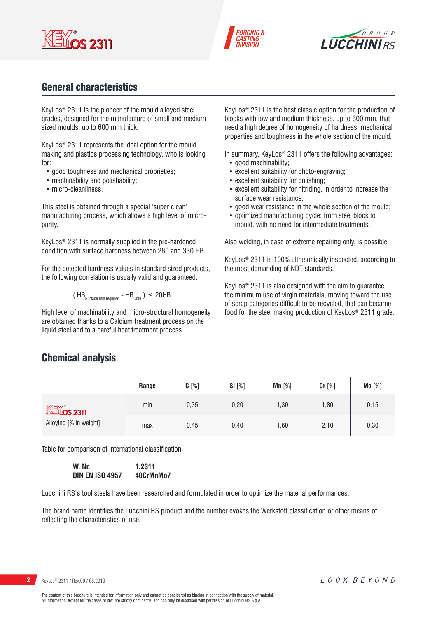





# General characteristics

KeyLos® 2311 is the pioneer of the mould alloyed steel grades, designed for the manufacture of small and medium sized moulds, up to 600 mm thick.

KeyLos® 2311 represents the ideal option for the mould making and plastics processing technology, who is looking for:

- good toughness and mechanical proprieties;
- machinability and polishability;
- micro-cleanliness.

This steel is obtained through a special 'super clean' manufacturing process, which allows a high level of micropurity.

KeyLos® 2311 is normally supplied in the pre-hardened condition with surface hardness between 280 and 330 HB.

For the detected hardness values in standard sized products, the following correlation is usually valid and guaranteed:

$$
(\text{HB}_{\text{Surface,min required}} - \text{HB}_{\text{Core}})
$$
  $\leq$  20HB

High level of machinability and micro-structural homogeneity are obtained thanks to a Calcium treatment process on the liquid steel and to a careful heat treatment process.

KeyLos® 2311 is the best classic option for the production of blocks with low and medium thickness, up to 600 mm, that need a high degree of homogeneity of hardness, mechanical properties and toughness in the whole section of the mould.

In summary, KeyLos<sup>®</sup> 2311 offers the following advantages: • good machinability:

- excellent suitability for photo-engraving;
- excellent suitability for polishing;
- excellent suitability for nitriding, in order to increase the surface wear resistance;
- good wear resistance in the whole section of the mould;
- optimized manufacturing cycle: from steel block to mould, with no need for intermediate treatments.

Also welding, in case of extreme repairing only, is possible.

KeyLos® 2311 is 100% ultrasonically inspected, according to the most demanding of NDT standards.

KeyLos® 2311 is also designed with the aim to guarantee the minimum use of virgin materials, moving toward the use of scrap categories difficult to be recycled, that can became food for the steel making production of KeyLos® 2311 grade.

### Chemical analysis

|                                | Range | $C[\%]$ | Si [%] | $Mn$ [%] | Cr [%] | Mo [%] |
|--------------------------------|-------|---------|--------|----------|--------|--------|
| $M$ $\mathbb{R}$ $\infty$ 2311 | min   | 0,35    | 0,20   | 1,30     | 1,80   | 0,15   |
| Alloying [% in weight]         | max   | 0,45    | 0,40   | 1,60     | 2,10   | 0,30   |

Table for comparison of international classification

**W. Nr. 1.2311 DIN EN ISO 4957 40CrMnMo7**

Lucchini RS's tool steels have been researched and formulated in order to optimize the material performances.

The brand name identifies the Lucchini RS product and the number evokes the Werkstoff classification or other means of reflecting the characteristics of use.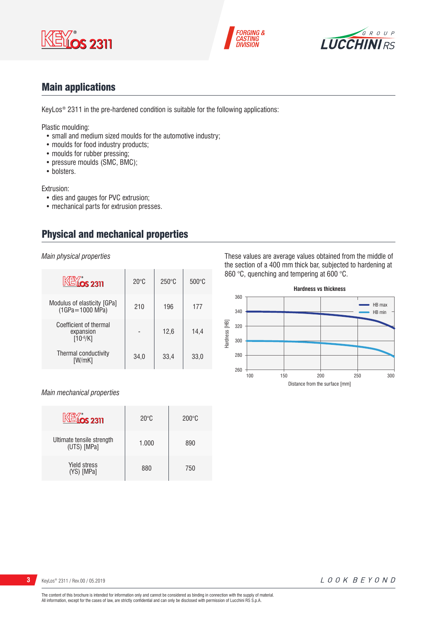





# Main applications

KeyLos® 2311 in the pre-hardened condition is suitable for the following applications:

Plastic moulding:

- small and medium sized moulds for the automotive industry;
- moulds for food industry products;
- moulds for rubber pressing;
- pressure moulds (SMC, BMC);
- bolsters.

Extrusion:

- dies and gauges for PVC extrusion;
- mechanical parts for extrusion presses.

# Physical and mechanical properties

*Main physical properties*

| <b>KEYOS 2311</b>                                    | $20^{\circ}$ C | $250^{\circ}$ C | $500\degree C$ |
|------------------------------------------------------|----------------|-----------------|----------------|
| Modulus of elasticity [GPa]<br>$(1GPa = 1000 MPa)$   | 210            | 196             | 177            |
| Coefficient of thermal<br>expansion<br>$[10^{-6}/K]$ |                | 12.6            | 14,4           |
| Thermal conductivity<br>[W/mK]                       | 34,0           | 33,4            | 33,0           |

### *Main mechanical properties*

|                                          | $20^{\circ}$ C | $200^{\circ}$ C |
|------------------------------------------|----------------|-----------------|
| Ultimate tensile strength<br>(UTS) [MPa] | 1.000          | 890             |
| <b>Yield stress</b><br>(YS) [MPa]        | 880            | 750             |

These values are average values obtained from the middle of the section of a 400 mm thick bar, subjected to hardening at 860 °C, quenching and tempering at 600 °C.

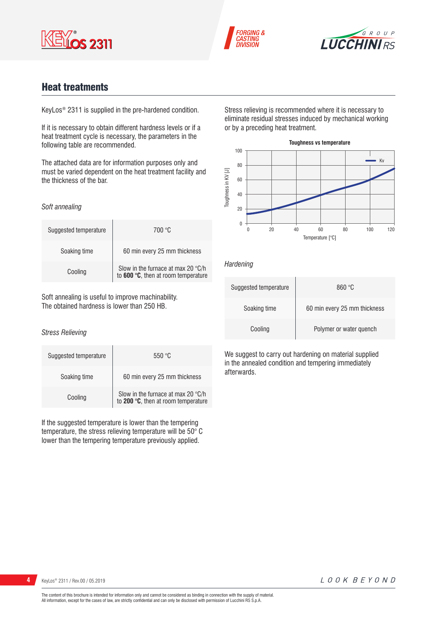





# Heat treatments

KeyLos® 2311 is supplied in the pre-hardened condition.

If it is necessary to obtain different hardness levels or if a heat treatment cycle is necessary, the parameters in the following table are recommended.

The attached data are for information purposes only and must be varied dependent on the heat treatment facility and the thickness of the bar.

#### *Soft annealing*

| Suggested temperature | 700 °C                                                                    |
|-----------------------|---------------------------------------------------------------------------|
| Soaking time          | 60 min every 25 mm thickness                                              |
| Cooling               | Slow in the furnace at max 20 °C/h<br>to 600 °C, then at room temperature |

Soft annealing is useful to improve machinability. The obtained hardness is lower than 250 HB.

### *Stress Relieving*

| Suggested temperature | 550 °C                                                                             |
|-----------------------|------------------------------------------------------------------------------------|
| Soaking time          | 60 min every 25 mm thickness                                                       |
| Cooling               | Slow in the furnace at max 20 $\degree$ C/h<br>to 200 °C, then at room temperature |

If the suggested temperature is lower than the tempering temperature, the stress relieving temperature will be 50° C lower than the tempering temperature previously applied.

Stress relieving is recommended where it is necessary to eliminate residual stresses induced by mechanical working or by a preceding heat treatment.



### *Hardening*

| Suggested temperature | 860 °C                       |
|-----------------------|------------------------------|
| Soaking time          | 60 min every 25 mm thickness |
| Cooling               | Polymer or water quench      |

We suggest to carry out hardening on material supplied in the annealed condition and tempering immediately afterwards.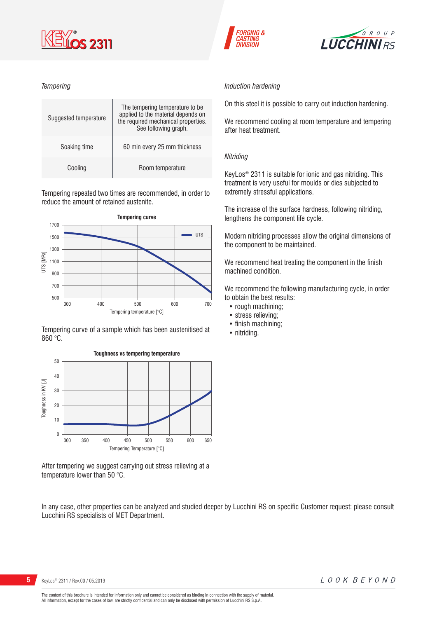

### *Tempering*



Tempering repeated two times are recommended, in order to reduce the amount of retained austenite.



Tempering curve of a sample which has been austenitised at 860 °C.



After tempering we suggest carrying out stress relieving at a temperature lower than 50 °C.

In any case, other properties can be analyzed and studied deeper by Lucchini RS on specific Customer request: please consult Lucchini RS specialists of MET Department.





#### *Induction hardening*

On this steel it is possible to carry out induction hardening.

We recommend cooling at room temperature and tempering after heat treatment.

### *Nitriding*

KeyLos® 2311 is suitable for ionic and gas nitriding. This treatment is very useful for moulds or dies subjected to extremely stressful applications.

The increase of the surface hardness, following nitriding, lengthens the component life cycle.

Modern nitriding processes allow the original dimensions of the component to be maintained.

We recommend heat treating the component in the finish machined condition.

We recommend the following manufacturing cycle, in order to obtain the best results:

- rough machining;
- stress relieving;
- finish machining;
- nitriding.

**5** KeyLos® 2311 / Rev.00 / 05.2019

The content of this brochure is intended for information only and cannot be considered as binding in connection with the supply of material. All information, except for the cases of law, are strictly confidential and can only be disclosed with permission of Lucchini RS S.p.A.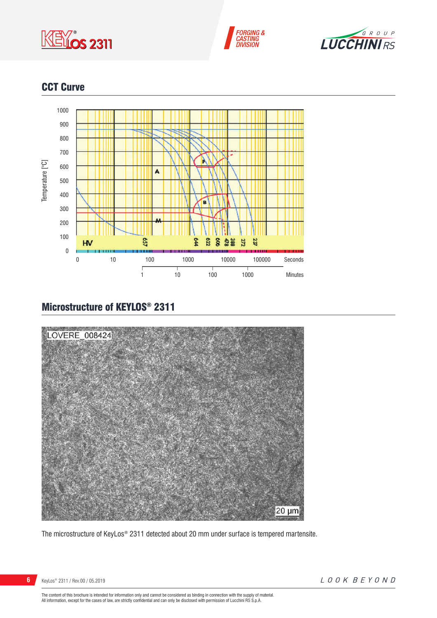





# CCT Curve



# Microstructure of KEYLOS® 2311



The microstructure of KeyLos® 2311 detected about 20 mm under surface is tempered martensite.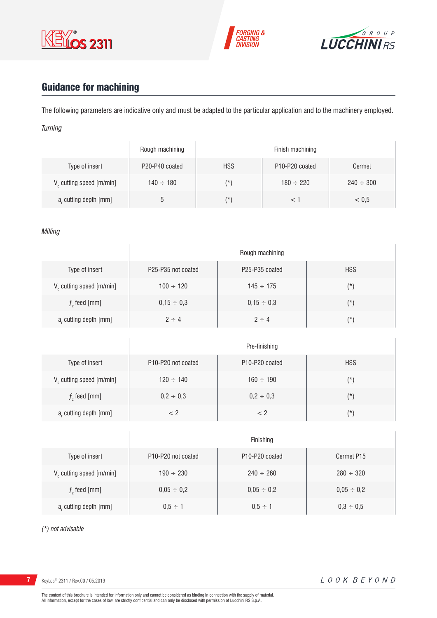





# Guidance for machining

The following parameters are indicative only and must be adapted to the particular application and to the machinery employed. *Turning*

|                                      | Rough machining |            | Finish machining                        |                |
|--------------------------------------|-----------------|------------|-----------------------------------------|----------------|
| Type of insert                       | P20-P40 coated  | <b>HSS</b> | P <sub>10</sub> -P <sub>20</sub> coated | Cermet         |
| V <sub>c</sub> cutting speed [m/min] | $140 \div 180$  | (*`        | $180 \div 220$                          | $240 \div 300$ |
| a, cutting depth [mm]                | b               | (*         |                                         | < 0.5          |

### *Milling*

|                             |                    | Rough machining                         |            |
|-----------------------------|--------------------|-----------------------------------------|------------|
| Type of insert              | P25-P35 not coated | P <sub>25</sub> -P <sub>35</sub> coated | <b>HSS</b> |
| $V_c$ cutting speed [m/min] | $100 \div 120$     | $145 \div 175$                          | $(\star)$  |
| $fz$ feed [mm]              | $0,15 \div 0,3$    | $0,15 \div 0,3$                         | $(\star)$  |
| $ar$ cutting depth [mm]     | $2 \div 4$         | $2 \div 4$                              | $(\star)$  |

|                         |                                                    | Pre-finishing                           |            |
|-------------------------|----------------------------------------------------|-----------------------------------------|------------|
| Type of insert          | P <sub>10</sub> -P <sub>20</sub> not coated        | P <sub>10</sub> -P <sub>20</sub> coated | <b>HSS</b> |
| V cutting speed [m/min] | $120 \div 140$                                     | $160 \div 190$                          | (*)        |
| $f$ , feed [mm]         | $0,2 \div 0,3$                                     | $0,2 \div 0,3$                          | $(\star)$  |
| a, cutting depth [mm]   | </td <td>&lt; 2</td> <td><math>(\star)</math></td> | < 2                                     | $(\star)$  |

|                                      |                                             | Finishing                               |                 |
|--------------------------------------|---------------------------------------------|-----------------------------------------|-----------------|
| Type of insert                       | P <sub>10</sub> -P <sub>20</sub> not coated | P <sub>10</sub> -P <sub>20</sub> coated | Cermet P15      |
| V <sub>c</sub> cutting speed [m/min] | $190 \div 230$                              | $240 \div 260$                          | $280 \div 320$  |
| $f$ , feed [mm]                      | $0,05 \div 0,2$                             | $0,05 \div 0,2$                         | $0,05 \div 0,2$ |
| a, cutting depth [mm]                | $0.5 \div 1$                                | $0.5 \div 1$                            | $0,3 \div 0,5$  |

*(\*) not advisable*

**7** KeyLos® 2311 / Rev.00 / 05.2019

 $\overline{1}$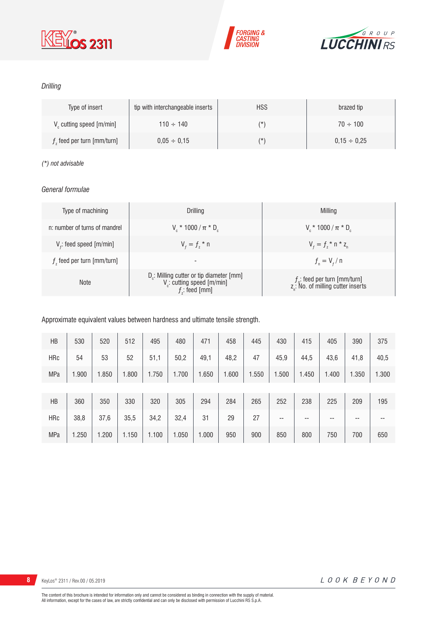





### *Drilling*

| Type of insert                | tip with interchangeable inserts | <b>HSS</b> | brazed tip       |
|-------------------------------|----------------------------------|------------|------------------|
| $V_c$ cutting speed $[m/min]$ | $110 \div 140$                   | $(\star)$  | $70 \div 100$    |
| $fz$ feed per turn [mm/turn]  | $0.05 \div 0.15$                 | $(\star)$  | $0.15 \div 0.25$ |

### *(\*) not advisable*

### *General formulae*

| Type of machining             | Drilling                                                                                   | Milling                                                                             |
|-------------------------------|--------------------------------------------------------------------------------------------|-------------------------------------------------------------------------------------|
| n: number of turns of mandrel | $V_{\rm c}$ * 1000 / $\pi$ * D <sub>c</sub>                                                | $V_c * 1000 / \pi * D_c$                                                            |
| $Vf$ : feed speed [m/min]     | $V_{f} = f_{7}$ * n                                                                        | $V_{f} = f_{i} * n * z_{n}$                                                         |
| $fz$ feed per turn [mm/turn]  | $\overline{\phantom{a}}$                                                                   | $f_{n} = V_{f} / n$                                                                 |
| <b>Note</b>                   | $D_c$ : Milling cutter or tip diameter [mm]<br>V: cutting speed [m/min]<br>$f$ ; feed [mm] | $f_{n}$ : feed per turn [mm/turn]<br>z <sub>n</sub> : No. of milling cutter inserts |

### Approximate equivalent values between hardness and ultimate tensile strength.

| HB         | 530   | 520   | 512   | 495   | 480   | 471   | 458   | 445   | 430   | 415   | 405   | 390   | 375   |
|------------|-------|-------|-------|-------|-------|-------|-------|-------|-------|-------|-------|-------|-------|
| <b>HRc</b> | 54    | 53    | 52    | 51,1  | 50,2  | 49,1  | 48,2  | 47    | 45,9  | 44,5  | 43,6  | 41,8  | 40,5  |
| <b>MPa</b> | 1.900 | 1.850 | 1.800 | 1.750 | 1.700 | 1.650 | 1.600 | 1.550 | 1.500 | 1.450 | 1.400 | 1.350 | 1.300 |
|            |       |       |       |       |       |       |       |       |       |       |       |       |       |
| HB         | 360   | 350   | 330   | 320   | 305   | 294   | 284   | 265   | 252   | 238   | 225   | 209   | 195   |
| <b>HRc</b> | 38,8  | 37,6  | 35,5  | 34,2  | 32,4  | 31    | 29    | 27    | --    | --    | --    | --    | --    |
| <b>MPa</b> | 1.250 | 1.200 | 1.150 | 1.100 | 1.050 | 1.000 | 950   | 900   | 850   | 800   | 750   | 700   | 650   |